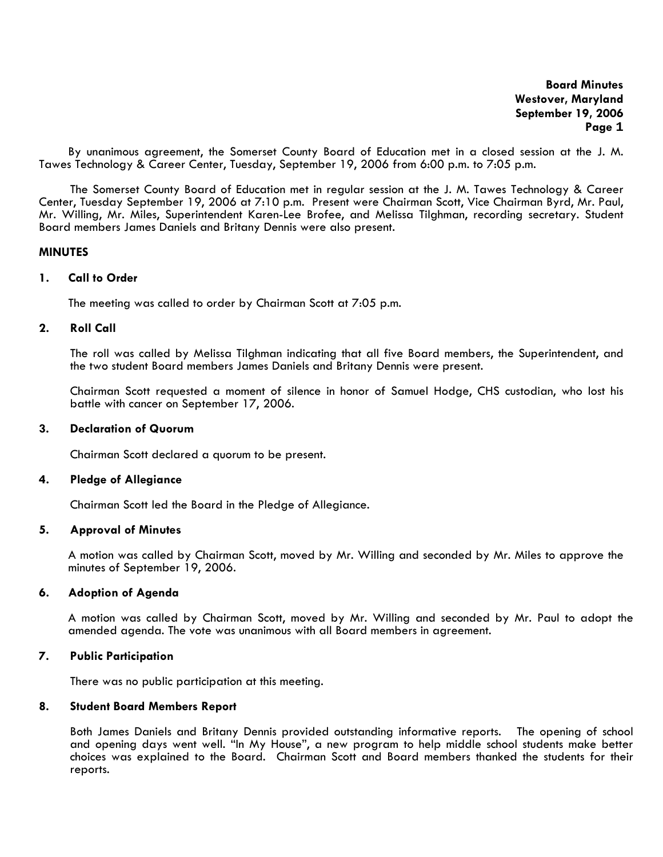By unanimous agreement, the Somerset County Board of Education met in a closed session at the J. M. Tawes Technology & Career Center, Tuesday, September 19, 2006 from 6:00 p.m. to 7:05 p.m.

The Somerset County Board of Education met in regular session at the J. M. Tawes Technology & Career Center, Tuesday September 19, 2006 at 7:10 p.m. Present were Chairman Scott, Vice Chairman Byrd, Mr. Paul, Mr. Willing, Mr. Miles, Superintendent Karen-Lee Brofee, and Melissa Tilghman, recording secretary. Student Board members James Daniels and Britany Dennis were also present.

### **MINUTES**

### **1. Call to Order**

The meeting was called to order by Chairman Scott at 7:05 p.m.

# **2. Roll Call**

The roll was called by Melissa Tilghman indicating that all five Board members, the Superintendent, and the two student Board members James Daniels and Britany Dennis were present.

Chairman Scott requested a moment of silence in honor of Samuel Hodge, CHS custodian, who lost his battle with cancer on September 17, 2006.

### **3. Declaration of Quorum**

Chairman Scott declared a quorum to be present.

# **4. Pledge of Allegiance**

Chairman Scott led the Board in the Pledge of Allegiance.

#### **5. Approval of Minutes**

 A motion was called by Chairman Scott, moved by Mr. Willing and seconded by Mr. Miles to approve the minutes of September 19, 2006.

# **6. Adoption of Agenda**

A motion was called by Chairman Scott, moved by Mr. Willing and seconded by Mr. Paul to adopt the amended agenda. The vote was unanimous with all Board members in agreement.

### **7. Public Participation**

There was no public participation at this meeting.

#### **8. Student Board Members Report**

Both James Daniels and Britany Dennis provided outstanding informative reports. The opening of school and opening days went well. "In My House", a new program to help middle school students make better choices was explained to the Board. Chairman Scott and Board members thanked the students for their reports.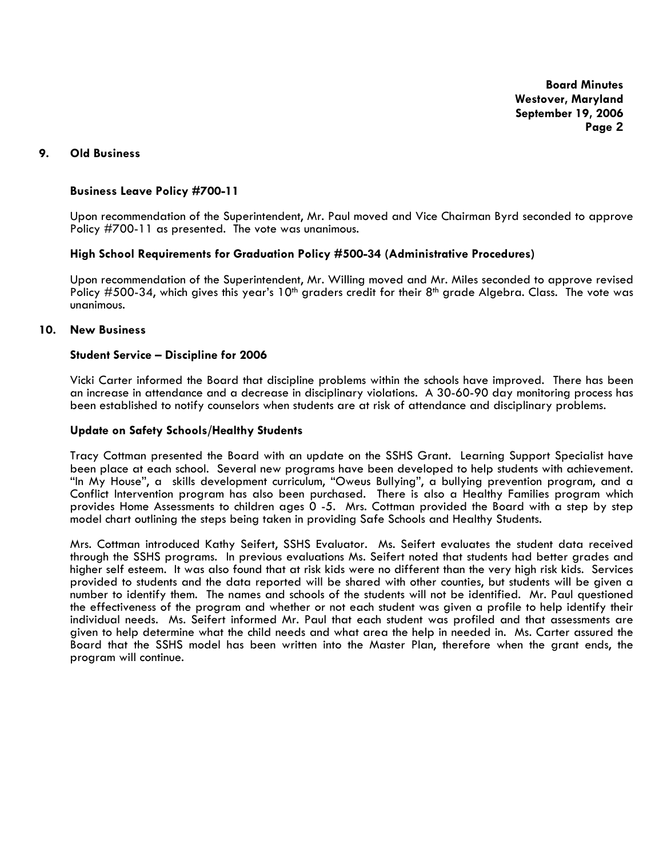# **9. Old Business**

# **Business Leave Policy #700-11**

Upon recommendation of the Superintendent, Mr. Paul moved and Vice Chairman Byrd seconded to approve Policy #700-11 as presented. The vote was unanimous.

# **High School Requirements for Graduation Policy #500-34 (Administrative Procedures)**

Upon recommendation of the Superintendent, Mr. Willing moved and Mr. Miles seconded to approve revised Policy #500-34, which gives this year's 10<sup>th</sup> graders credit for their 8<sup>th</sup> grade Algebra. Class. The vote was unanimous.

# **10. New Business**

### **Student Service – Discipline for 2006**

Vicki Carter informed the Board that discipline problems within the schools have improved. There has been an increase in attendance and a decrease in disciplinary violations. A 30-60-90 day monitoring process has been established to notify counselors when students are at risk of attendance and disciplinary problems.

### **Update on Safety Schools/Healthy Students**

Tracy Cottman presented the Board with an update on the SSHS Grant. Learning Support Specialist have been place at each school. Several new programs have been developed to help students with achievement. "In My House", a skills development curriculum, "Oweus Bullying", a bullying prevention program, and a Conflict Intervention program has also been purchased. There is also a Healthy Families program which provides Home Assessments to children ages 0 -5. Mrs. Cottman provided the Board with a step by step model chart outlining the steps being taken in providing Safe Schools and Healthy Students.

Mrs. Cottman introduced Kathy Seifert, SSHS Evaluator. Ms. Seifert evaluates the student data received through the SSHS programs. In previous evaluations Ms. Seifert noted that students had better grades and higher self esteem. It was also found that at risk kids were no different than the very high risk kids. Services provided to students and the data reported will be shared with other counties, but students will be given a number to identify them. The names and schools of the students will not be identified. Mr. Paul questioned the effectiveness of the program and whether or not each student was given a profile to help identify their individual needs. Ms. Seifert informed Mr. Paul that each student was profiled and that assessments are given to help determine what the child needs and what area the help in needed in. Ms. Carter assured the Board that the SSHS model has been written into the Master Plan, therefore when the grant ends, the program will continue.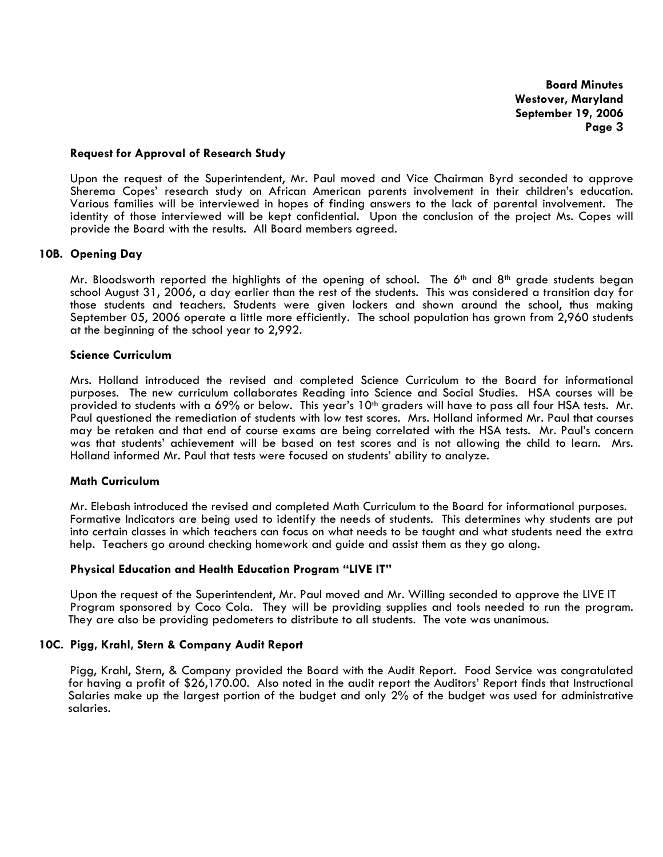# **Request for Approval of Research Study**

Upon the request of the Superintendent, Mr. Paul moved and Vice Chairman Byrd seconded to approve Sherema Copes' research study on African American parents involvement in their children's education. Various families will be interviewed in hopes of finding answers to the lack of parental involvement. The identity of those interviewed will be kept confidential. Upon the conclusion of the project Ms. Copes will provide the Board with the results. All Board members agreed.

# **10B. Opening Day**

Mr. Bloodsworth reported the highlights of the opening of school. The  $6<sup>th</sup>$  and  $8<sup>th</sup>$  grade students began school August 31, 2006, a day earlier than the rest of the students. This was considered a transition day for those students and teachers. Students were given lockers and shown around the school, thus making September 05, 2006 operate a little more efficiently. The school population has grown from 2,960 students at the beginning of the school year to 2,992.

# **Science Curriculum**

Mrs. Holland introduced the revised and completed Science Curriculum to the Board for informational purposes. The new curriculum collaborates Reading into Science and Social Studies. HSA courses will be provided to students with a 69% or below. This year's 10<sup>th</sup> graders will have to pass all four HSA tests. Mr. Paul questioned the remediation of students with low test scores. Mrs. Holland informed Mr. Paul that courses may be retaken and that end of course exams are being correlated with the HSA tests. Mr. Paul's concern was that students' achievement will be based on test scores and is not allowing the child to learn. Mrs. Holland informed Mr. Paul that tests were focused on students' ability to analyze.

# **Math Curriculum**

 Mr. Elebash introduced the revised and completed Math Curriculum to the Board for informational purposes. Formative Indicators are being used to identify the needs of students. This determines why students are put into certain classes in which teachers can focus on what needs to be taught and what students need the extra help. Teachers go around checking homework and guide and assist them as they go along.

# **Physical Education and Health Education Program "LIVE IT"**

Upon the request of the Superintendent, Mr. Paul moved and Mr. Willing seconded to approve the LIVE IT Program sponsored by Coco Cola. They will be providing supplies and tools needed to run the program. They are also be providing pedometers to distribute to all students. The vote was unanimous.

# **10C. Pigg, Krahl, Stern & Company Audit Report**

Pigg, Krahl, Stern, & Company provided the Board with the Audit Report. Food Service was congratulated for having a profit of \$26,170.00. Also noted in the audit report the Auditors' Report finds that Instructional Salaries make up the largest portion of the budget and only 2% of the budget was used for administrative salaries.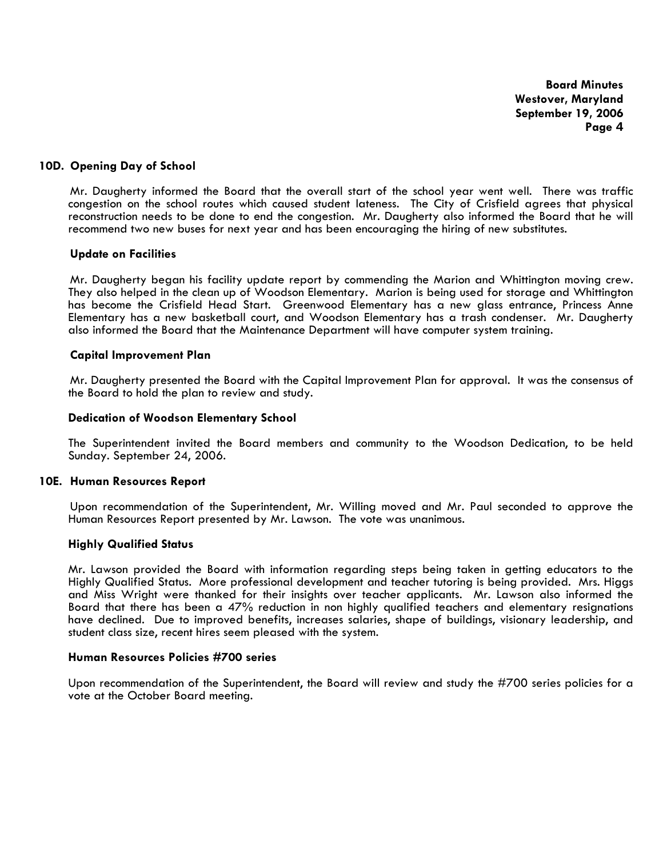### **10D. Opening Day of School**

Mr. Daugherty informed the Board that the overall start of the school year went well. There was traffic congestion on the school routes which caused student lateness. The City of Crisfield agrees that physical reconstruction needs to be done to end the congestion. Mr. Daugherty also informed the Board that he will recommend two new buses for next year and has been encouraging the hiring of new substitutes.

#### **Update on Facilities**

 Mr. Daugherty began his facility update report by commending the Marion and Whittington moving crew. They also helped in the clean up of Woodson Elementary. Marion is being used for storage and Whittington has become the Crisfield Head Start. Greenwood Elementary has a new glass entrance, Princess Anne Elementary has a new basketball court, and Woodson Elementary has a trash condenser. Mr. Daugherty also informed the Board that the Maintenance Department will have computer system training.

#### **Capital Improvement Plan**

 Mr. Daugherty presented the Board with the Capital Improvement Plan for approval. It was the consensus of the Board to hold the plan to review and study.

### **Dedication of Woodson Elementary School**

The Superintendent invited the Board members and community to the Woodson Dedication, to be held Sunday. September 24, 2006.

### **10E. Human Resources Report**

 Upon recommendation of the Superintendent, Mr. Willing moved and Mr. Paul seconded to approve the Human Resources Report presented by Mr. Lawson. The vote was unanimous.

#### **Highly Qualified Status**

Mr. Lawson provided the Board with information regarding steps being taken in getting educators to the Highly Qualified Status. More professional development and teacher tutoring is being provided. Mrs. Higgs and Miss Wright were thanked for their insights over teacher applicants. Mr. Lawson also informed the Board that there has been a 47% reduction in non highly qualified teachers and elementary resignations have declined. Due to improved benefits, increases salaries, shape of buildings, visionary leadership, and student class size, recent hires seem pleased with the system.

### **Human Resources Policies #700 series**

Upon recommendation of the Superintendent, the Board will review and study the #700 series policies for a vote at the October Board meeting.